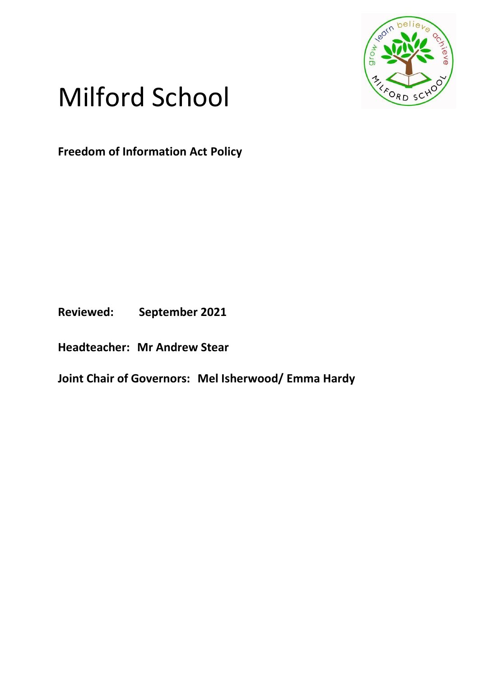

# Milford School

**Freedom of Information Act Policy**

**Reviewed: September 2021**

**Headteacher: Mr Andrew Stear**

**Joint Chair of Governors: Mel Isherwood/ Emma Hardy**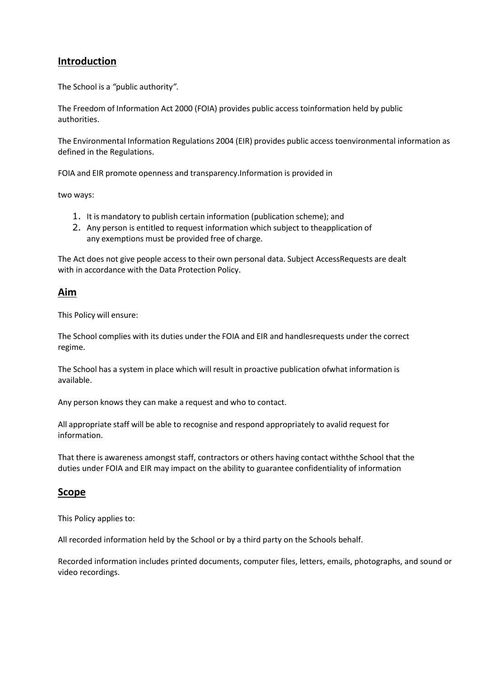## **Introduction**

The School is a *"*public authority*".*

The Freedom of Information Act 2000 (FOIA) provides public access toinformation held by public authorities.

The Environmental Information Regulations 2004 (EIR) provides public access toenvironmental information as defined in the Regulations.

FOIA and EIR promote openness and transparency.Information is provided in

two ways:

- 1. It is mandatory to publish certain information (publication scheme); and
- 2. Any person is entitled to request information which subject to theapplication of any exemptions must be provided free of charge.

The Act does not give people access to their own personal data. Subject AccessRequests are dealt with in accordance with the Data Protection Policy.

#### **Aim**

This Policy will ensure:

The School complies with its duties under the FOIA and EIR and handlesrequests under the correct regime.

The School has a system in place which will result in proactive publication ofwhat information is available.

Any person knows they can make a request and who to contact.

All appropriate staff will be able to recognise and respond appropriately to avalid request for information.

That there is awareness amongst staff, contractors or others having contact withthe School that the duties under FOIA and EIR may impact on the ability to guarantee confidentiality of information

### **Scope**

This Policy applies to:

All recorded information held by the School or by a third party on the Schools behalf.

Recorded information includes printed documents, computer files, letters, emails, photographs, and sound or video recordings.